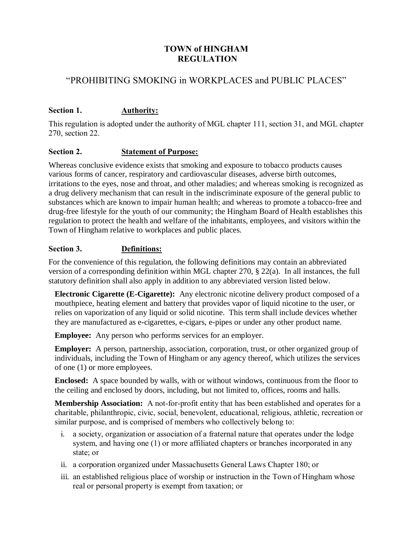## **TOWN of HINGHAM REGULATION**

# "PROHIBITING SMOKING in WORKPLACES and PUBLIC PLACES"

## **Section 1. Authority:**

This regulation is adopted under the authority of MGL chapter 111, section 31, and MGL chapter 270, section 22.

### **Section 2. Statement of Purpose:**

Whereas conclusive evidence exists that smoking and exposure to tobacco products causes various forms of cancer, respiratory and cardiovascular diseases, adverse birth outcomes, irritations to the eyes, nose and throat, and other maladies; and whereas smoking is recognized as a drug delivery mechanism that can result in the indiscriminate exposure of the general public to substances which are known to impair human health; and whereas to promote a tobacco-free and drug-free lifestyle for the youth of our community; the Hingham Board of Health establishes this regulation to protect the health and welfare of the inhabitants, employees, and visitors within the Town of Hingham relative to workplaces and public places.

#### **Section 3. Definitions:**

For the convenience of this regulation, the following definitions may contain an abbreviated version of a corresponding definition within MGL chapter 270, § 22(a). In all instances, the full statutory definition shall also apply in addition to any abbreviated version listed below.

**Electronic Cigarette (E-Cigarette):** Any electronic nicotine delivery product composed of a mouthpiece, heating element and battery that provides vapor of liquid nicotine to the user, or relies on vaporization of any liquid or solid nicotine. This term shall include devices whether they are manufactured as e-cigarettes, e-cigars, e-pipes or under any other product name.

**Employee:** Any person who performs services for an employer.

**Employer:** A person, partnership, association, corporation, trust, or other organized group of individuals, including the Town of Hingham or any agency thereof, which utilizes the services of one (1) or more employees.

**Enclosed:** A space bounded by walls, with or without windows, continuous from the floor to the ceiling and enclosed by doors, including, but not limited to, offices, rooms and halls.

**Membership Association:** A not-for-profit entity that has been established and operates for a charitable, philanthropic, civic, social, benevolent, educational, religious, athletic, recreation or similar purpose, and is comprised of members who collectively belong to:

- i. a society, organization or association of a fraternal nature that operates under the lodge system, and having one (1) or more affiliated chapters or branches incorporated in any state; or
- ii. a corporation organized under Massachusetts General Laws Chapter 180; or
- iii. an established religious place of worship or instruction in the Town of Hingham whose real or personal property is exempt from taxation; or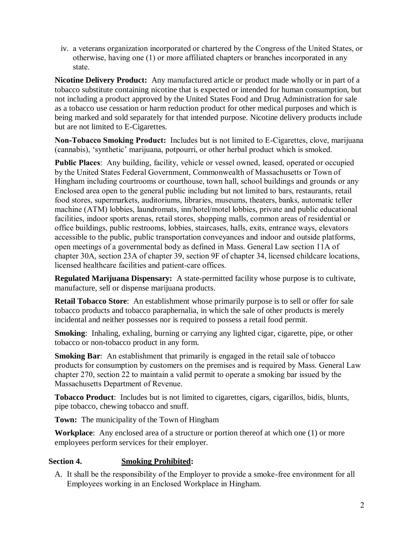iv. a veterans organization incorporated or chartered by the Congress of the United States, or otherwise, having one (1) or more affiliated chapters or branches incorporated in any state.

**Nicotine Delivery Product:** Any manufactured article or product made wholly or in part of a tobacco substitute containing nicotine that is expected or intended for human consumption, but not including a product approved by the United States Food and Drug Administration for sale as a tobacco use cessation or harm reduction product for other medical purposes and which is being marked and sold separately for that intended purpose. Nicotine delivery products include but are not limited to E-Cigarettes.

**Non-Tobacco Smoking Product:** Includes but is not limited to E-Cigarettes, clove, marijuana (cannabis), 'synthetic' marijuana, potpourri, or other herbal product which is smoked.

**Public Places**: Any building, facility, vehicle or vessel owned, leased, operated or occupied by the United States Federal Government, Commonwealth of Massachusetts or Town of Hingham including courtrooms or courthouse, town hall, school buildings and grounds or any Enclosed area open to the general public including but not limited to bars, restaurants, retail food stores, supermarkets, auditoriums, libraries, museums, theaters, banks, automatic teller machine (ATM) lobbies, laundromats, inn/hotel/motel lobbies, private and public educational facilities, indoor sports arenas, retail stores, shopping malls, common areas of residential or office buildings, public restrooms, lobbies, staircases, halls, exits, entrance ways, elevators accessible to the public, public transportation conveyances and indoor and outside platforms, open meetings of a governmental body as defined in Mass. General Law section 11A of chapter 30A, section 23A of chapter 39, section 9F of chapter 34, licensed childcare locations, licensed healthcare facilities and patient-care offices.

**Regulated Marijuana Dispensary:** A state-permitted facility whose purpose is to cultivate, manufacture, sell or dispense marijuana products.

**Retail Tobacco Store**: An establishment whose primarily purpose is to sell or offer for sale tobacco products and tobacco paraphernalia, in which the sale of other products is merely incidental and neither possesses nor is required to possess a retail food permit.

**Smoking**: Inhaling, exhaling, burning or carrying any lighted cigar, cigarette, pipe, or other tobacco or non-tobacco product in any form.

**Smoking Bar:** An establishment that primarily is engaged in the retail sale of tobacco products for consumption by customers on the premises and is required by Mass. General Law chapter 270, section 22 to maintain a valid permit to operate a smoking bar issued by the Massachusetts Department of Revenue.

**Tobacco Product**: Includes but is not limited to cigarettes, cigars, cigarillos, bidis, blunts, pipe tobacco, chewing tobacco and snuff.

**Town:** The municipality of the Town of Hingham

**Workplace**: Any enclosed area of a structure or portion thereof at which one (1) or more employees perform services for their employer.

#### **Section 4. Smoking Prohibited:**

A. It shall be the responsibility of the Employer to provide a smoke-free environment for all Employees working in an Enclosed Workplace in Hingham.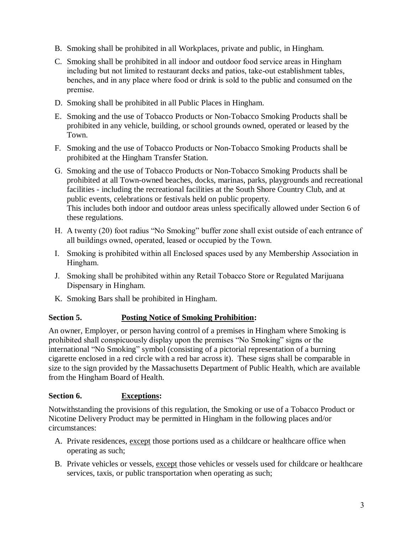- B. Smoking shall be prohibited in all Workplaces, private and public, in Hingham.
- C. Smoking shall be prohibited in all indoor and outdoor food service areas in Hingham including but not limited to restaurant decks and patios, take-out establishment tables, benches, and in any place where food or drink is sold to the public and consumed on the premise.
- D. Smoking shall be prohibited in all Public Places in Hingham.
- E. Smoking and the use of Tobacco Products or Non-Tobacco Smoking Products shall be prohibited in any vehicle, building, or school grounds owned, operated or leased by the Town.
- F. Smoking and the use of Tobacco Products or Non-Tobacco Smoking Products shall be prohibited at the Hingham Transfer Station.
- G. Smoking and the use of Tobacco Products or Non-Tobacco Smoking Products shall be prohibited at all Town-owned beaches, docks, marinas, parks, playgrounds and recreational facilities - including the recreational facilities at the South Shore Country Club, and at public events, celebrations or festivals held on public property. This includes both indoor and outdoor areas unless specifically allowed under Section 6 of these regulations.
- H. A twenty (20) foot radius "No Smoking" buffer zone shall exist outside of each entrance of all buildings owned, operated, leased or occupied by the Town.
- I. Smoking is prohibited within all Enclosed spaces used by any Membership Association in Hingham.
- J. Smoking shall be prohibited within any Retail Tobacco Store or Regulated Marijuana Dispensary in Hingham.
- K. Smoking Bars shall be prohibited in Hingham.

#### **Section 5. Posting Notice of Smoking Prohibition:**

An owner, Employer, or person having control of a premises in Hingham where Smoking is prohibited shall conspicuously display upon the premises "No Smoking" signs or the international "No Smoking" symbol (consisting of a pictorial representation of a burning cigarette enclosed in a red circle with a red bar across it). These signs shall be comparable in size to the sign provided by the Massachusetts Department of Public Health, which are available from the Hingham Board of Health.

#### **Section 6. Exceptions:**

Notwithstanding the provisions of this regulation, the Smoking or use of a Tobacco Product or Nicotine Delivery Product may be permitted in Hingham in the following places and/or circumstances:

- A. Private residences, except those portions used as a childcare or healthcare office when operating as such;
- B. Private vehicles or vessels, except those vehicles or vessels used for childcare or healthcare services, taxis, or public transportation when operating as such;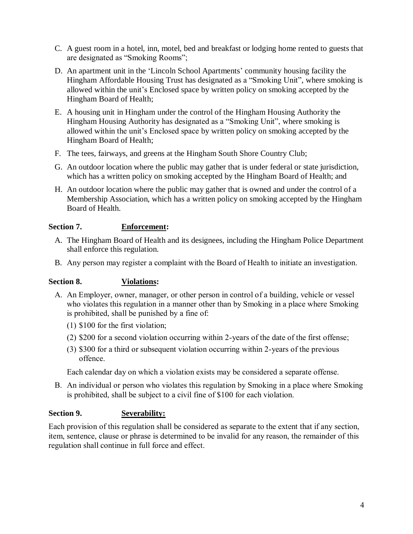- C. A guest room in a hotel, inn, motel, bed and breakfast or lodging home rented to guests that are designated as "Smoking Rooms";
- D. An apartment unit in the 'Lincoln School Apartments' community housing facility the Hingham Affordable Housing Trust has designated as a "Smoking Unit", where smoking is allowed within the unit's Enclosed space by written policy on smoking accepted by the Hingham Board of Health;
- E. A housing unit in Hingham under the control of the Hingham Housing Authority the Hingham Housing Authority has designated as a "Smoking Unit", where smoking is allowed within the unit's Enclosed space by written policy on smoking accepted by the Hingham Board of Health;
- F. The tees, fairways, and greens at the Hingham South Shore Country Club;
- G. An outdoor location where the public may gather that is under federal or state jurisdiction, which has a written policy on smoking accepted by the Hingham Board of Health; and
- H. An outdoor location where the public may gather that is owned and under the control of a Membership Association, which has a written policy on smoking accepted by the Hingham Board of Health.

#### **Section 7. Enforcement:**

- A. The Hingham Board of Health and its designees, including the Hingham Police Department shall enforce this regulation.
- B. Any person may register a complaint with the Board of Health to initiate an investigation.

#### **Section 8. Violations:**

- A. An Employer, owner, manager, or other person in control of a building, vehicle or vessel who violates this regulation in a manner other than by Smoking in a place where Smoking is prohibited, shall be punished by a fine of:
	- (1) \$100 for the first violation;
	- (2) \$200 for a second violation occurring within 2-years of the date of the first offense;
	- (3) \$300 for a third or subsequent violation occurring within 2-years of the previous offence.

Each calendar day on which a violation exists may be considered a separate offense.

B. An individual or person who violates this regulation by Smoking in a place where Smoking is prohibited, shall be subject to a civil fine of \$100 for each violation.

#### **Section 9. Severability:**

Each provision of this regulation shall be considered as separate to the extent that if any section, item, sentence, clause or phrase is determined to be invalid for any reason, the remainder of this regulation shall continue in full force and effect.